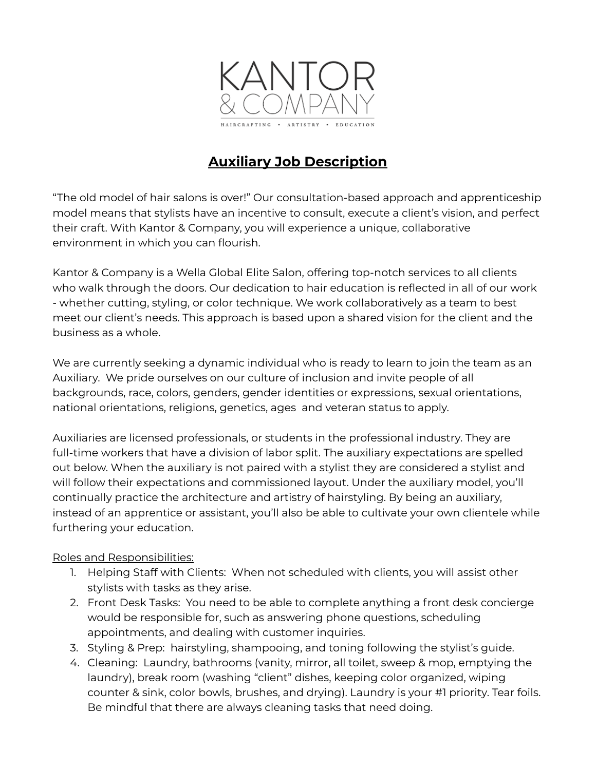

# **Auxiliary Job Description**

"The old model of hair salons is over!" Our consultation-based approach and apprenticeship model means that stylists have an incentive to consult, execute a client's vision, and perfect their craft. With Kantor & Company, you will experience a unique, collaborative environment in which you can flourish.

Kantor & Company is a Wella Global Elite Salon, offering top-notch services to all clients who walk through the doors. Our dedication to hair education is reflected in all of our work - whether cutting, styling, or color technique. We work collaboratively as a team to best meet our client's needs. This approach is based upon a shared vision for the client and the business as a whole.

We are currently seeking a dynamic individual who is ready to learn to join the team as an Auxiliary. We pride ourselves on our culture of inclusion and invite people of all backgrounds, race, colors, genders, gender identities or expressions, sexual orientations, national orientations, religions, genetics, ages and veteran status to apply.

Auxiliaries are licensed professionals, or students in the professional industry. They are full-time workers that have a division of labor split. The auxiliary expectations are spelled out below. When the auxiliary is not paired with a stylist they are considered a stylist and will follow their expectations and commissioned layout. Under the auxiliary model, you'll continually practice the architecture and artistry of hairstyling. By being an auxiliary, instead of an apprentice or assistant, you'll also be able to cultivate your own clientele while furthering your education.

## Roles and Responsibilities:

- 1. Helping Staff with Clients: When not scheduled with clients, you will assist other stylists with tasks as they arise.
- 2. Front Desk Tasks: You need to be able to complete anything a front desk concierge would be responsible for, such as answering phone questions, scheduling appointments, and dealing with customer inquiries.
- 3. Styling & Prep: hairstyling, shampooing, and toning following the stylist's guide.
- 4. Cleaning: Laundry, bathrooms (vanity, mirror, all toilet, sweep & mop, emptying the laundry), break room (washing "client" dishes, keeping color organized, wiping counter & sink, color bowls, brushes, and drying). Laundry is your #1 priority. Tear foils. Be mindful that there are always cleaning tasks that need doing.